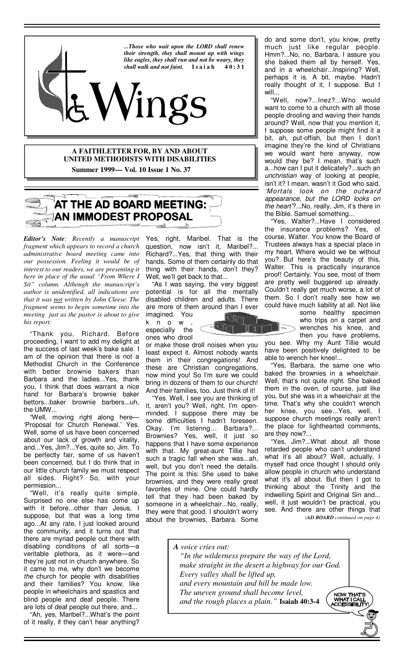

## **A FAITHLETTER FOR, BY AND ABOUT UNITED METHODISTS WITH DISABILITIES Summer 1999 — Vol. 10 Issue 1 No. 37**

# **AT THE AD BOARD MEETING: AN IMMODEST PROPOSAL**

*Editor's Note: Recently a manuscript fragment which appears to record a church administrative board meeting came into our possession. Feeling it would be of interest to our readers, we are presenting it here in place of the usual "From Where I Sit" column. Although the manuscript's author is unidentified, all indications are that it was not written by John Cleese. The fragment seems to begin sometime into the meeting just as the pastor is about to give his report:*

 "Thank you, Richard. Before proceeding, I want to add my delight at the success of last week's bake sale. I am of the opinion that there is not a Methodist Church in the Conference with better brownie bakers than Barbara and the ladies...Yes, thank you, I think that does warrant a nice hand for Barbara's brownie baker bettors...baker brownie barbers...uh, the UMW...

 "Well, moving right along here— 'Proposal for Church Renewal.' Yes. Well, some of us have been concerned about our lack of growth and vitality, and...Yes, Jim?...Yes, quite so, Jim. To be perfectly fair, some of us haven't been concerned, but I do think that in our little church family we must respect all sides. Right? So, with your permission...

 "Well, it's really quite simple. Surprised no one else has come up with it before...other than Jesus, I suppose, but that was a long time ago...At any rate, I just looked around the community, and it turns out that there are myriad people out there with disabling conditions of all sorts—a veritable plethora, as it were—and they're just not in church anywhere. So it came to me, why don't we become the church for people with disabilities and their families? You know, like people in wheelchairs and spastics and blind people and deaf people. There are lots of deaf people out there, and...

 "Ah, yes, Maribel?...What's the point of it really, if they can't hear anything?

Yes, right, Maribel. That is the question, now isn't it, Maribel?... Richard?...Yes, that thing with their hands. Some of them certainly do that thing with their hands, don't they? Well, we'll get back to that...

 "As I was saying, the very biggest potential is for all the mentally disabled children and adults. There are more of them around than I ever imagined. You

k n o w , especially the ones who drool

or make those droll noises when you least expect it. Almost nobody wants them in their congregations! And these are Christian congregations, now mind you! So I'm sure we could bring in dozens of them to our church! And their families, too. Just think of it!

 "Yes. Well, I see you are thinking of it, aren't you? Well, right. I'm openminded. I suppose there may be some difficulties I hadn't foreseen. Okay. I'm listenng… Barbara?... Brownies? Yes, well, it just so happens that I have some experience with that. My great-aunt Tillie had such a tragic fall when she was...ah, well, but you don't need the details. The point is this: She used to bake brownies, and they were really great favorites of mine. One could hardly tell that they had been baked by someone in a wheelchair...No, really, they were that good. I shouldn't worry about the brownies, Barbara. Some

do and some don't, you know, pretty much just like regular people. Hmm?...No, no, Barbara, I assure you she baked them all by herself. Yes, and in a wheelchair...Inspiring? Well, perhaps it is. A bit, maybe. Hadn't really thought of it, I suppose. But I will..

 "Well, now?...Inez?...Who would want to come to a church with all those people drooling and waving their hands around? Well, now that you mention it, I suppose some people might find it a bit, ah, put-offish, but then I don't imagine they're the kind of Christians we would want here anyway, now would they be? I mean, that's such a...how can I put it delicately?...such an unchristian way of looking at people, isn't it? I mean, wasn't it God who said, 'Mortals look on the outward appearance, but the LORD looks on the heart?...No, really, Jim, it's there in the Bible. Samuel something...

 "Yes, Walter?...Have I considered the insurance problems? Yes, of course, Walter. You know the Board of Trustees always has a special place in my heart. Where would we be without you? But here's the beauty of this, Walter. This is practically insurance proof! Certainly. You see, most of them are pretty well buggered up already. Couldn't really get much worse, a lot of them. So I don't really see how we could have much liability at all. Not like

some healthy specimen who trips on a carpet and  $>$  wrenches his knee, and then you have problems,

you see. Why my Aunt Tillie would have been positively delighted to be able to wrench her knee!...

 "Yes, Barbara, the same one who baked the brownies in a wheelchair. Well, that's not quite right. She baked them in the oven, of course, just like you, but she was in a wheelchair at the time. That's why she couldn't wrench her knee, you see...Yes, well, I suppose church meetings really aren't the place for lighthearted comments, are they now?...

 "Yes, Jim?...What about all those retarded people who can't understand what it's all about? Well, actually, I myself had once thought I should only allow people in church who understand what it's all about. But then I got to thinking about the Trinity and the indwelling Spirit and Original Sin and... well, it just wouldn't be practical, you see. And there are other things that *(AD BOARD continued on page 4)* 

*A voice cries out: "In the wilderness prepare the way of the Lord, make straight in the desert a highway for our God. Every valley shall be lifted up, and every mountain and hill be made low. The uneven ground shall become level,*  NOW THAT'S<br>WHAT I CALL<br>CCESSIBILIT  *and the rough places a plain."* **Isaiah 40:3-4**

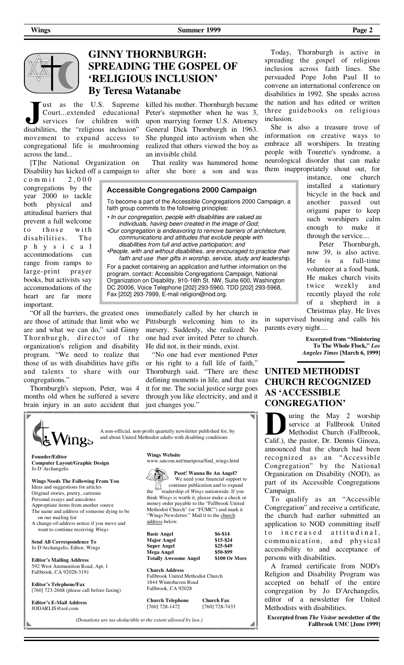

## **GINNY THORNBURGH: SPREADING THE GOSPEL OF 'RELIGIOUS INCLUSION' By Teresa Watanabe**

Court...extended educational services for children with disabilities, the "religious inclusion" movement to expand access to congregational life is mushrooming across the land...

[T]he National Organization on

 $commit 2,000$ congregations by the year 2000 to tackle both physical and attitudinal barriers that prevent a full welcome to those with disabilities. The p h y s i c a l accommodations can range from ramps to large-print prayer books, but activists say accommodations of the heart are far more important.

 "Of all the barriers, the greatest ones are those of attitude that limit who we are and what we can do," said Ginny Thornburgh, director of the organization's religion and disability program. "We need to realize that those of us with disabilities have gifts and talents to share with our congregations."

 Thornburgh's stepson, Peter, was 4 months old when he suffered a severe brain injury in an auto accident that

ust as the U.S. Supreme killed his mother. Thornburgh became Peter's stepmother when he was 3, upon marrying former U.S. Attorney General Dick Thornburgh in 1963. She plunged into activism when she realized that others viewed the boy as an invisible child.

Disability has kicked off a campaign to after she bore a son and was That reality was hammered home

#### **Accessible Congregations 2000 Campaign**

To become a part of the Accessible Congregations 2000 Campaign, a faith group commits to the following principles:

• In our congregation, people with disabilities are valued as individuals, having been created in the image of God;

•Our congregation is endeavoring to remove barriers of architecture, communications and attitudes that exclude people with disabilities from full and active participation; and

•People, with and without disabilities, are encouraged to practice their faith and use their gifts in worship, service, study and leadership.

For a packet containing an application and further information on the program, contact: Accessible Congregations Campaign, National Organization on Disability, 910-16th St. NW, Suite 600, Washington DC 20006, Voice Telephone [202] 293-5960, TDD [202] 293-5968, Fax [202] 293-7999, E-mail religion@nod.org.

> immediately called by her church in Pittsburgh welcoming him to its nursery. Suddenly, she realized: No one had ever invited Peter to church. He did not, in their minds, exist.

 "No one had ever mentioned Peter or his right to a full life of faith," Thornburgh said. "There are these defining moments in life, and that was it for me. The social justice surge goes through you like electricity, and and it just changes you."

 A non-official, non-profit quarterly newsletter published for, by and about United Methodist adults with disabling conditions INgs **Wings Website Founder/Editor**  www.satcom.net/mariposa/find\_wings.html **Computer Layout/Graphic Design**  Jo D'Archangelis

**Wings Needs The Following From You**  Ideas and suggestions for articles Original stories, poetry, cartoons Personal essays and anecdotes

- Appropriate items from another source The name and address of someone dying to be on our mailing list
- A change-of-address notice if you move and want to continue receiving *Wings*

**Send All Correspondence To**  Jo D'Archangelis, Editor, Wings

**Editor's Mailing Address**  592 West Ammunition Road, Apt. 1 Fallbrook, CA 92028-3191

**Editor's Telephone/Fax**  [760] 723-2668 (please call before faxing)

**Editor's E-Mail Address** JODARLIS@aol.com



 **Pssst! Wanna Be An Angel?** 

 We need your financial support to  $\iiint_{\text{t}}$  continue publication and to expand<br>the readership of *Wings* nationwide If you readership of *Wings* nationwide. If you think *Wings* is worth it, please make a check or money order payable to the "Fallbrook United Methodist Church" (or "FUMC") and mark it "Wings Newsletter." Mail it to the church address below.

| <b>Basic Angel</b>           | \$6-\$14      |
|------------------------------|---------------|
| <b>Major Angel</b>           | \$15-\$24     |
| <b>Super Angel</b>           | \$25-\$49     |
| Mega Angel                   | \$50-\$99     |
| <b>Totally Awesome Angel</b> | \$100 Or More |

**Church Address** 

Fallbrook United Methodist Church 1844 Winterhaven Road Fallbrook, CA 92028

**Church Telephone Church Fax**<br>[760] 728-1472 [760] 728-74

*(Donations are tax-deductible to the extent allowed by law.)*

[760] 728-1472 [760] 728-7433

 Today, Thornburgh is active in spreading the gospel of religious inclusion across faith lines. She persuaded Pope John Paul II to convene an international conference on disabilities in 1992. She speaks across the nation and has edited or written three guidebooks on religious inclusion.

 She is also a treasure trove of information on creative ways to embrace all worshipers. In treating people with Tourette's syndrome, a neurological disorder that can make them inappropriately shout out, for

instance, one church installed a stationary bicycle in the back and another passed out origami paper to keep such worshipers calm enough to make it through the service....

 Peter Thornburgh, now 39, is also active. He is a full-time volunteer at a food bank. He makes church visits twice weekly and recently played the role of a shepherd in a

Christmas play. He lives in supervised housing and calls his parents every night....

> **Excerpted from "Ministering To The Whole Flock,"** *Los Angeles Times* **[March 6, 1999]**

## **UNITED METHODIST CHURCH RECOGNIZED AS 'ACCESSIBLE CONGREGATION'**

uring the May 2 worship service at Fallbrook United Methodist Church (Fallbrook, Calif.), the pastor, Dr. Dennis Ginoza, announced that the church had been recognized as an "Accessible Congregation" by the National Organization on Disability (NOD), as part of its Accessible Congregations Campaign.

 To qualify as an "Accessible Congregation" and receive a certificate, the church had earlier submitted an application to NOD committing itself to increased attitudinal, communication, and physical accessibility to and acceptance of persons with disabilities.

A framed certificate from NOD's Religion and Disability Program was accepted on behalf of the entire congregation by Jo D'Archangelis*,*  editor of a newsletter for United Methodists with disabilities.

**Excerpted from** *The Visitor* **newsletter of the Fallbrook UMC [June 1999]**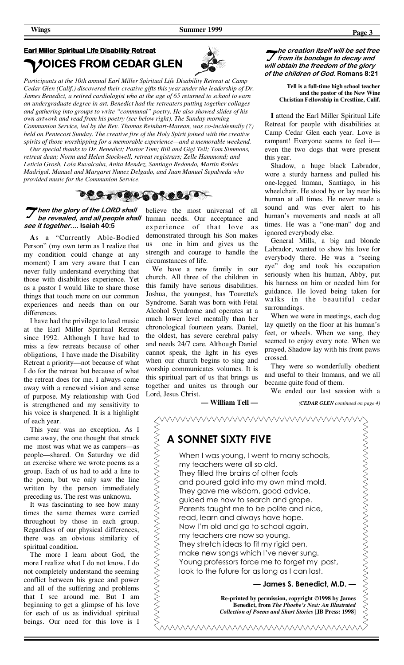## **Earl Miller Spiritual Life Disability Retreat OICES FROM CEDAR GLEN**



*Participants at the 10th annual Earl Miller Spiritual Life Disability Retreat at Camp Cedar Glen (Calif.) discovered their creative gifts this year under the leadership of Dr. James Benedict, a retired cardiologist who at the age of 65 returned to school to earn an undergraduate degree in art. Benedict had the retreaters putting together collages and gathering into groups to write "communal" poetry. He also showed slides of his own artwork and read from his poetry (see below right). The Sunday morning Communion Service, led by the Rev. Thomas Reinhart-Marean, was co-incidentally (?) held on Pentecost Sunday. The creative fire of the Holy Spirit joined with the creative spirits of those worshipping for a memorable experience—and a memorable weekend.*

 *Our special thanks to Dr. Benedict; Pastor Tom; Bill and Gigi Tell; Tom Simmons, retreat dean; Norm and Helen Stockwell, retreat registrars; Zelle Hammond; and Leticia Grosh, Lola Ruvalcaba, Anita Mendez, Santiago Redondo, Martin Robles Madrigal, Manuel and Margaret Nunez Delgado, and Juan Manuel Sepulveda who provided music for the Communion Service.*



## **hen the glory of the LORD shall be revealed, and all people shall see it together.... Isaiah 40:5**

**A**s a "Currently Able-Bodied Person" (my own term as I realize that my condition could change at any moment) I am very aware that I can never fully understand everything that those with disabilities experience. Yet as a pastor I would like to share those things that touch more on our common experiences and needs than on our differences.

 I have had the privilege to lead music at the Earl Miller Spiritual Retreat since 1992. Although I have had to miss a few retreats because of other obligations, I have made the Disability Retreat a priority—not because of what I do for the retreat but because of what the retreat does for me. I always come away with a renewed vision and sense of purpose. My relationship with God is strengthened and my sensitivity to his voice is sharpened. It is a highlight of each year.

 This year was no exception. As I came away, the one thought that struck me most was what we as campers—as people—shared. On Saturday we did an exercise where we wrote poems as a group. Each of us had to add a line to the poem, but we only saw the line written by the person immediately preceding us. The rest was unknown.

 It was fascinating to see how many times the same themes were carried throughout by those in each group. Regardless of our physical differences, there was an obvious similarity of spiritual condition.

 The more I learn about God, the more I realize what I do not know. I do not completely understand the seeming conflict between his grace and power and all of the suffering and problems that I see around me. But I am beginning to get a glimpse of his love for each of us as individual spiritual beings. Our need for this love is I

believe the most universal of all human needs. Our acceptance and experience of that love as demonstrated through his Son makes us one in him and gives us the strength and courage to handle the circumstances of life.

 We have a new family in our church. All three of the children in this family have serious disabilities. Joshua, the youngest, has Tourette's Syndrome. Sarah was born with Fetal Alcohol Syndrome and operates at a much lower level mentally than her chronological fourteen years. Daniel, the oldest, has severe cerebral palsy and needs 24/7 care. Although Daniel cannot speak, the light in his eyes when our church begins to sing and worship communicates volumes. It is this spiritual part of us that brings us together and unites us through our Lord, Jesus Christ.

**— William Tell —** 

**he creation itself will be set free from its bondage to decay and will obtain the freedom of the glory of the children of God. Romans 8:21** 

> **Tell is a full-time high school teacher and the pastor of the New Wine Christian Fellowship in Crestline, Calif.**

**I** attend the Earl Miller Spiritual Life Retreat for people with disabilities at Camp Cedar Glen each year. Love is rampant! Everyone seems to feel it even the two dogs that were present this year.

 Shadow, a huge black Labrador, wore a sturdy harness and pulled his one-legged human, Santiago, in his wheelchair. He stood by or lay near his human at all times. He never made a sound and was ever alert to his human's movements and needs at all times. He was a "one-man" dog and ignored everybody else.

 General Mills, a big and blonde Labrador, wanted to show his love for everybody there. He was a "seeing eye" dog and took his occupation seriously when his human, Abby, put his harness on him or needed him for guidance. He loved being taken for walks in the beautiful cedar surroundings.

 When we were in meetings, each dog lay quietly on the floor at his human's feet, or wheels. When we sang, they seemed to enjoy every note. When we prayed, Shadow lay with his front paws crossed.

 They were so wonderfully obedient and useful to their humans, and we all became quite fond of them.

We ended our last session with a

*(CEDAR GLEN continued on page 4)* 

| A SONNET SIXTY FIVE                                                                                                                                                                                                                                                                                                                                                                                                                                                                                                                                                                   |
|---------------------------------------------------------------------------------------------------------------------------------------------------------------------------------------------------------------------------------------------------------------------------------------------------------------------------------------------------------------------------------------------------------------------------------------------------------------------------------------------------------------------------------------------------------------------------------------|
| When I was young, I went to many schools,<br>my teachers were all so old.<br>They filled the brains of other fools<br>and poured gold into my own mind mold.<br>They gave me wisdom, good advice,<br>guided me how to search and grope.<br>Parents taught me to be polite and nice,<br>read, learn and always have hope.<br>Now I'm old and go to school again,<br>my teachers are now so young.<br>They stretch ideas to fit my rigid pen,<br>make new songs which I've never sung.<br>Young professors force me to forget my past,<br>look to the future for as long as I can last. |
| James S. Benedict, M.D.                                                                                                                                                                                                                                                                                                                                                                                                                                                                                                                                                               |
| Re-printed by permission, copyright ©1998 by James<br><b>Benedict, from The Phoebe's Nest: An Illustrated</b><br><b>Collection of Poems and Short Stories [JB Press: 1998]</b>                                                                                                                                                                                                                                                                                                                                                                                                        |
|                                                                                                                                                                                                                                                                                                                                                                                                                                                                                                                                                                                       |